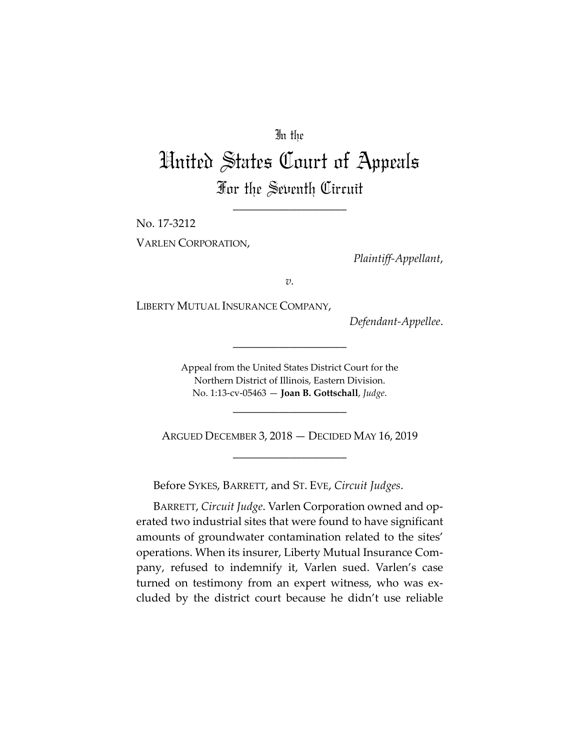## In the

## United States Court of Appeals For the Seventh Circuit

\_\_\_\_\_\_\_\_\_\_\_\_\_\_\_\_\_\_\_\_

No. 17-3212

VARLEN CORPORATION,

*Plaintiff-Appellant*,

*v.*

LIBERTY MUTUAL INSURANCE COMPANY,

*Defendant-Appellee*.

Appeal from the United States District Court for the Northern District of Illinois, Eastern Division. No. 1:13-cv-05463 — **Joan B. Gottschall**, *Judge*.

\_\_\_\_\_\_\_\_\_\_\_\_\_\_\_\_\_\_\_\_

ARGUED DECEMBER 3, 2018 — DECIDED MAY 16, 2019 \_\_\_\_\_\_\_\_\_\_\_\_\_\_\_\_\_\_\_\_

\_\_\_\_\_\_\_\_\_\_\_\_\_\_\_\_\_\_\_\_

Before SYKES, BARRETT, and ST. EVE, *Circuit Judges*.

BARRETT, *Circuit Judge*. Varlen Corporation owned and operated two industrial sites that were found to have significant amounts of groundwater contamination related to the sites' operations. When its insurer, Liberty Mutual Insurance Company, refused to indemnify it, Varlen sued. Varlen's case turned on testimony from an expert witness, who was excluded by the district court because he didn't use reliable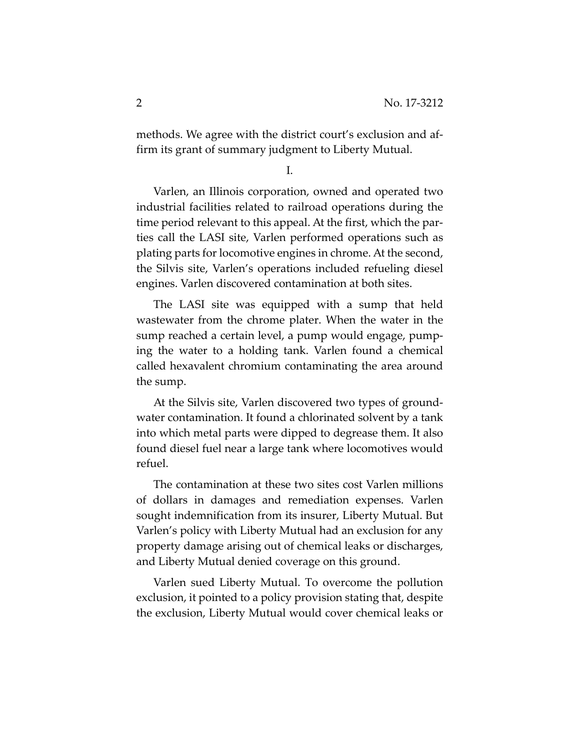methods. We agree with the district court's exclusion and affirm its grant of summary judgment to Liberty Mutual.

I.

Varlen, an Illinois corporation, owned and operated two industrial facilities related to railroad operations during the time period relevant to this appeal. At the first, which the parties call the LASI site, Varlen performed operations such as plating parts for locomotive engines in chrome. At the second, the Silvis site, Varlen's operations included refueling diesel engines. Varlen discovered contamination at both sites.

The LASI site was equipped with a sump that held wastewater from the chrome plater. When the water in the sump reached a certain level, a pump would engage, pumping the water to a holding tank. Varlen found a chemical called hexavalent chromium contaminating the area around the sump.

At the Silvis site, Varlen discovered two types of groundwater contamination. It found a chlorinated solvent by a tank into which metal parts were dipped to degrease them. It also found diesel fuel near a large tank where locomotives would refuel.

The contamination at these two sites cost Varlen millions of dollars in damages and remediation expenses. Varlen sought indemnification from its insurer, Liberty Mutual. But Varlen's policy with Liberty Mutual had an exclusion for any property damage arising out of chemical leaks or discharges, and Liberty Mutual denied coverage on this ground.

Varlen sued Liberty Mutual. To overcome the pollution exclusion, it pointed to a policy provision stating that, despite the exclusion, Liberty Mutual would cover chemical leaks or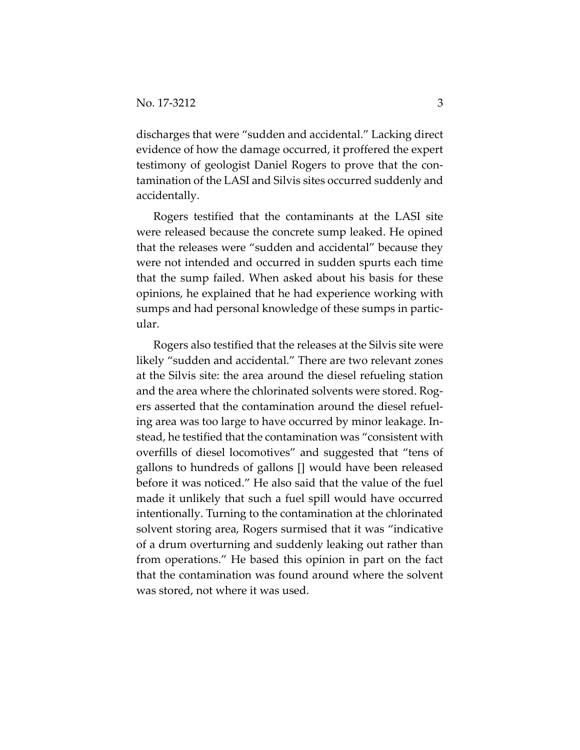discharges that were "sudden and accidental." Lacking direct evidence of how the damage occurred, it proffered the expert testimony of geologist Daniel Rogers to prove that the contamination of the LASI and Silvis sites occurred suddenly and accidentally.

Rogers testified that the contaminants at the LASI site were released because the concrete sump leaked. He opined that the releases were "sudden and accidental" because they were not intended and occurred in sudden spurts each time that the sump failed. When asked about his basis for these opinions, he explained that he had experience working with sumps and had personal knowledge of these sumps in particular.

Rogers also testified that the releases at the Silvis site were likely "sudden and accidental." There are two relevant zones at the Silvis site: the area around the diesel refueling station and the area where the chlorinated solvents were stored. Rogers asserted that the contamination around the diesel refueling area was too large to have occurred by minor leakage. Instead, he testified that the contamination was "consistent with overfills of diesel locomotives" and suggested that "tens of gallons to hundreds of gallons [] would have been released before it was noticed." He also said that the value of the fuel made it unlikely that such a fuel spill would have occurred intentionally. Turning to the contamination at the chlorinated solvent storing area, Rogers surmised that it was "indicative of a drum overturning and suddenly leaking out rather than from operations." He based this opinion in part on the fact that the contamination was found around where the solvent was stored, not where it was used.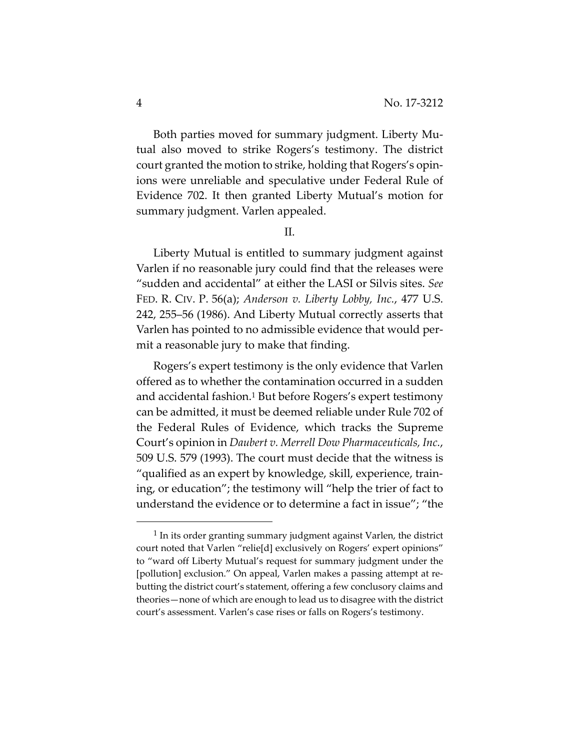Both parties moved for summary judgment. Liberty Mutual also moved to strike Rogers's testimony. The district court granted the motion to strike, holding that Rogers's opinions were unreliable and speculative under Federal Rule of Evidence 702. It then granted Liberty Mutual's motion for summary judgment. Varlen appealed.

II.

Liberty Mutual is entitled to summary judgment against Varlen if no reasonable jury could find that the releases were "sudden and accidental" at either the LASI or Silvis sites. *See* FED. R. CIV. P. 56(a); *Anderson v. Liberty Lobby, Inc.*, 477 U.S. 242, 255–56 (1986). And Liberty Mutual correctly asserts that Varlen has pointed to no admissible evidence that would permit a reasonable jury to make that finding.

Rogers's expert testimony is the only evidence that Varlen offered as to whether the contamination occurred in a sudden and accidental fashion.1 But before Rogers's expert testimony can be admitted, it must be deemed reliable under Rule 702 of the Federal Rules of Evidence, which tracks the Supreme Court's opinion in *Daubert v. Merrell Dow Pharmaceuticals, Inc.*, 509 U.S. 579 (1993). The court must decide that the witness is "qualified as an expert by knowledge, skill, experience, training, or education"; the testimony will "help the trier of fact to understand the evidence or to determine a fact in issue"; "the

<sup>&</sup>lt;sup>1</sup> In its order granting summary judgment against Varlen, the district court noted that Varlen "relie[d] exclusively on Rogers' expert opinions" to "ward off Liberty Mutual's request for summary judgment under the [pollution] exclusion." On appeal, Varlen makes a passing attempt at rebutting the district court's statement, offering a few conclusory claims and theories—none of which are enough to lead us to disagree with the district court's assessment. Varlen's case rises or falls on Rogers's testimony.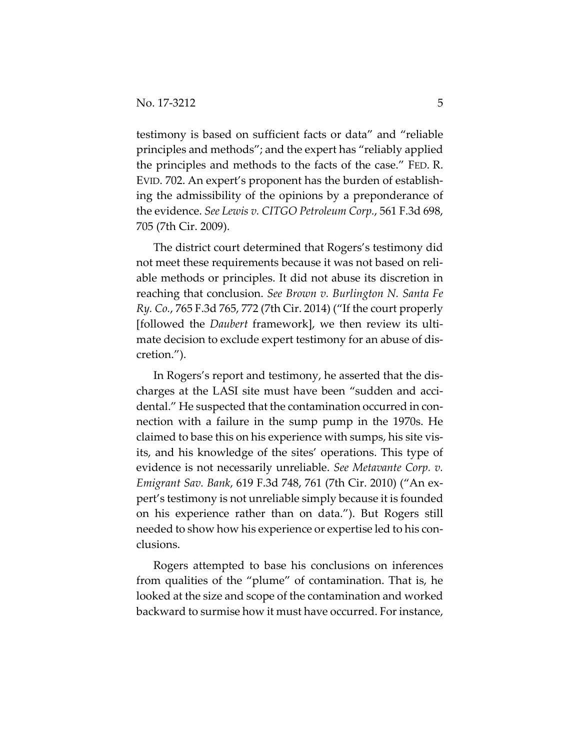testimony is based on sufficient facts or data" and "reliable principles and methods"; and the expert has "reliably applied the principles and methods to the facts of the case." FED. R. EVID. 702. An expert's proponent has the burden of establishing the admissibility of the opinions by a preponderance of the evidence. *See Lewis v. CITGO Petroleum Corp.*, 561 F.3d 698, 705 (7th Cir. 2009).

The district court determined that Rogers's testimony did not meet these requirements because it was not based on reliable methods or principles. It did not abuse its discretion in reaching that conclusion. *See Brown v. Burlington N. Santa Fe Ry. Co.*, 765 F.3d 765, 772 (7th Cir. 2014) ("If the court properly [followed the *Daubert* framework], we then review its ultimate decision to exclude expert testimony for an abuse of discretion.").

In Rogers's report and testimony, he asserted that the discharges at the LASI site must have been "sudden and accidental." He suspected that the contamination occurred in connection with a failure in the sump pump in the 1970s. He claimed to base this on his experience with sumps, his site visits, and his knowledge of the sites' operations. This type of evidence is not necessarily unreliable. *See Metavante Corp. v. Emigrant Sav. Bank*, 619 F.3d 748, 761 (7th Cir. 2010) ("An expert's testimony is not unreliable simply because it is founded on his experience rather than on data."). But Rogers still needed to show how his experience or expertise led to his conclusions.

Rogers attempted to base his conclusions on inferences from qualities of the "plume" of contamination. That is, he looked at the size and scope of the contamination and worked backward to surmise how it must have occurred. For instance,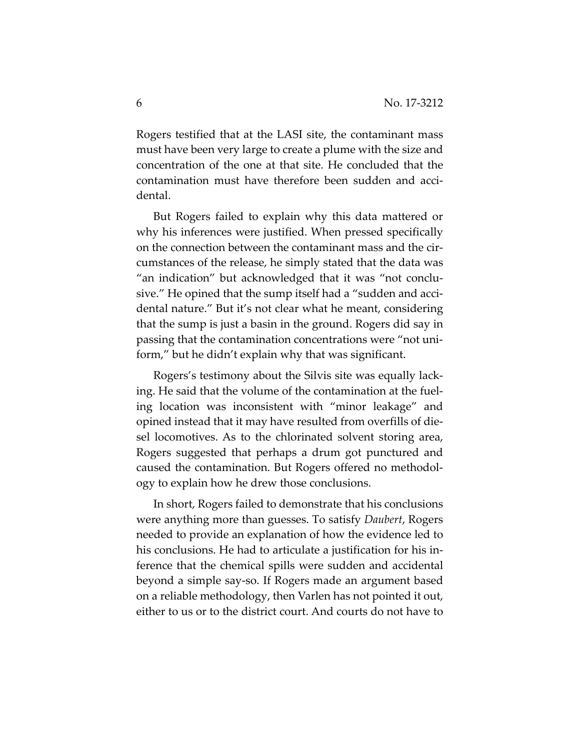Rogers testified that at the LASI site, the contaminant mass must have been very large to create a plume with the size and concentration of the one at that site. He concluded that the contamination must have therefore been sudden and accidental.

But Rogers failed to explain why this data mattered or why his inferences were justified. When pressed specifically on the connection between the contaminant mass and the circumstances of the release, he simply stated that the data was "an indication" but acknowledged that it was "not conclusive." He opined that the sump itself had a "sudden and accidental nature." But it's not clear what he meant, considering that the sump is just a basin in the ground. Rogers did say in passing that the contamination concentrations were "not uniform," but he didn't explain why that was significant.

Rogers's testimony about the Silvis site was equally lacking. He said that the volume of the contamination at the fueling location was inconsistent with "minor leakage" and opined instead that it may have resulted from overfills of diesel locomotives. As to the chlorinated solvent storing area, Rogers suggested that perhaps a drum got punctured and caused the contamination. But Rogers offered no methodology to explain how he drew those conclusions.

In short, Rogers failed to demonstrate that his conclusions were anything more than guesses. To satisfy *Daubert*, Rogers needed to provide an explanation of how the evidence led to his conclusions. He had to articulate a justification for his inference that the chemical spills were sudden and accidental beyond a simple say-so. If Rogers made an argument based on a reliable methodology, then Varlen has not pointed it out, either to us or to the district court. And courts do not have to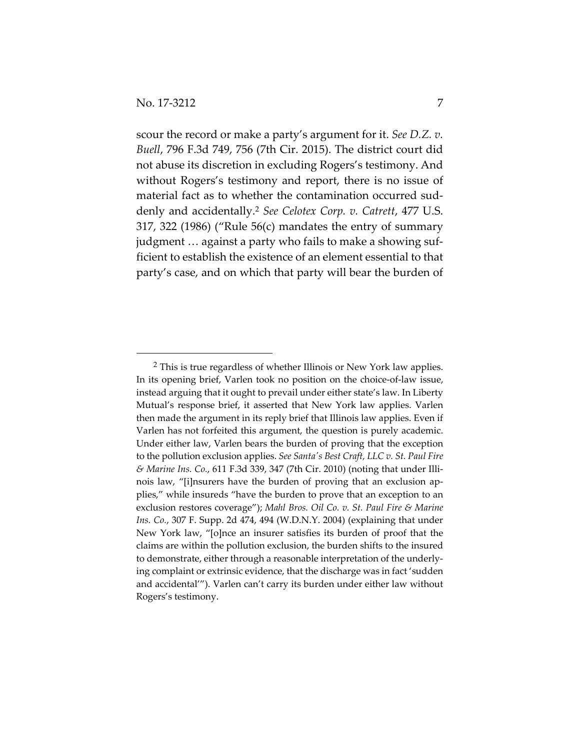$\overline{a}$ 

scour the record or make a party's argument for it. *See D.Z. v. Buell*, 796 F.3d 749, 756 (7th Cir. 2015). The district court did not abuse its discretion in excluding Rogers's testimony. And without Rogers's testimony and report, there is no issue of material fact as to whether the contamination occurred suddenly and accidentally.2 *See Celotex Corp. v. Catrett*, 477 U.S. 317, 322 (1986) ("Rule 56(c) mandates the entry of summary judgment … against a party who fails to make a showing sufficient to establish the existence of an element essential to that party's case, and on which that party will bear the burden of

<sup>&</sup>lt;sup>2</sup> This is true regardless of whether Illinois or New York law applies. In its opening brief, Varlen took no position on the choice-of-law issue, instead arguing that it ought to prevail under either state's law. In Liberty Mutual's response brief, it asserted that New York law applies. Varlen then made the argument in its reply brief that Illinois law applies. Even if Varlen has not forfeited this argument, the question is purely academic. Under either law, Varlen bears the burden of proving that the exception to the pollution exclusion applies. *See Santa's Best Craft, LLC v. St. Paul Fire & Marine Ins. Co.*, 611 F.3d 339, 347 (7th Cir. 2010) (noting that under Illinois law, "[i]nsurers have the burden of proving that an exclusion applies," while insureds "have the burden to prove that an exception to an exclusion restores coverage"); *Mahl Bros. Oil Co. v. St. Paul Fire & Marine Ins. Co.*, 307 F. Supp. 2d 474, 494 (W.D.N.Y. 2004) (explaining that under New York law, "[o]nce an insurer satisfies its burden of proof that the claims are within the pollution exclusion, the burden shifts to the insured to demonstrate, either through a reasonable interpretation of the underlying complaint or extrinsic evidence, that the discharge was in fact 'sudden and accidental'"). Varlen can't carry its burden under either law without Rogers's testimony.